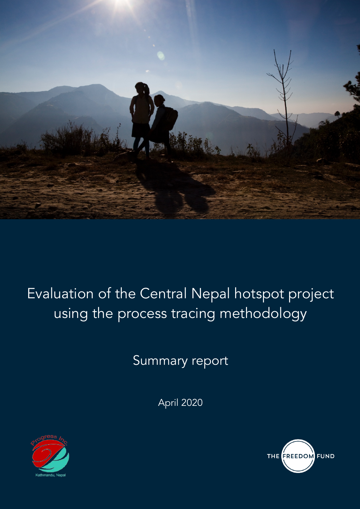

# Evaluation of the Central Nepal hotspot project using the process tracing methodology

Summary report

April 2020



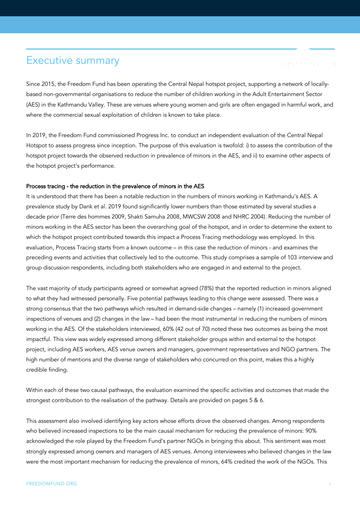## Executive summary

Since 2015, the Freedom Fund has been operating the Central Nepal hotspot project, supporting a network of locallybased non-governmental organisations to reduce the number of children working in the Adult Entertainment Sector (AES) in the Kathmandu Valley. These are venues where young women and girls are often engaged in harmful work, and where the commercial sexual exploitation of children is known to take place.

In 2019, the Freedom Fund commissioned Progress Inc. to conduct an independent evaluation of the Central Nepal Hotspot to assess progress since inception. The purpose of this evaluation is twofold: i) to assess the contribution of the hotspot project towards the observed reduction in prevalence of minors in the AES, and ii) to examine other aspects of the hotspot project's performance.

#### Process tracing - the reduction in the prevalence of minors in the AES

It is understood that there has been a notable reduction in the numbers of minors working in Kathmandu's AES. A prevalence study by Dank et al. 2019 found significantly lower numbers than those estimated by several studies a decade prior (Terre des hommes 2009, Shakti Samuha 2008, MWCSW 2008 and NHRC 2004). Reducing the number of minors working in the AES sector has been the overarching goal of the hotspot, and in order to determine the extent to which the hotspot project contributed towards this impact a Process Tracing methodology was employed. In this evaluation, Process Tracing starts from a known outcome – in this case the reduction of minors - and examines the preceding events and activities that collectively led to the outcome. This study comprises a sample of 103 interview and group discussion respondents, including both stakeholders who are engaged in and external to the project.

The vast majority of study participants agreed or somewhat agreed (78%) that the reported reduction in minors aligned to what they had witnessed personally. Five potential pathways leading to this change were assessed. There was a strong consensus that the two pathways which resulted in demand-side changes – namely (1) increased government inspections of venues and (2) changes in the law – had been the most instrumental in reducing the numbers of minors working in the AES. Of the stakeholders interviewed, 60% (42 out of 70) noted these two outcomes as being the most impactful. This view was widely expressed among different stakeholder groups within and external to the hotspot project, including AES workers, AES venue owners and managers, government representatives and NGO partners. The high number of mentions and the diverse range of stakeholders who concurred on this point, makes this a highly credible finding.

Within each of these two causal pathways, the evaluation examined the specific activities and outcomes that made the strongest contribution to the realisation of the pathway. Details are provided on pages 5 & 6.

This assessment also involved identifying key actors whose efforts drove the observed changes. Among respondents who believed increased inspections to be the main causal mechanism for reducing the prevalence of minors: 90% acknowledged the role played by the Freedom Fund's partner NGOs in bringing this about. This sentiment was most strongly expressed among owners and managers of AES venues. Among interviewees who believed changes in the law were the most important mechanism for reducing the prevalence of minors, 64% credited the work of the NGOs. This

THE FREED OM FUND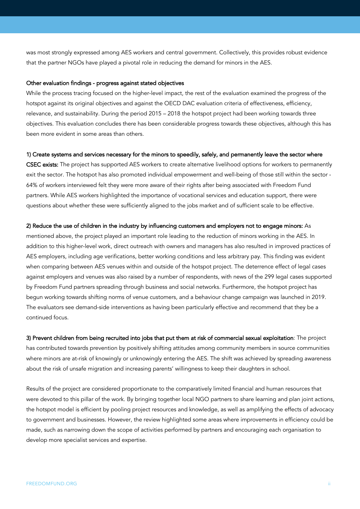was most strongly expressed among AES workers and central government. Collectively, this provides robust evidence that the partner NGOs have played a pivotal role in reducing the demand for minors in the AES.

#### Other evaluation findings - progress against stated objectives

While the process tracing focused on the higher-level impact, the rest of the evaluation examined the progress of the hotspot against its original objectives and against the OECD DAC evaluation criteria of effectiveness, efficiency, relevance, and sustainability. During the period 2015 – 2018 the hotspot project had been working towards three objectives. This evaluation concludes there has been considerable progress towards these objectives, although this has been more evident in some areas than others.

#### 1) Create systems and services necessary for the minors to speedily, safely, and permanently leave the sector where

CSEC exists: The project has supported AES workers to create alternative livelihood options for workers to permanently exit the sector. The hotspot has also promoted individual empowerment and well-being of those still within the sector - 64% of workers interviewed felt they were more aware of their rights after being associated with Freedom Fund partners. While AES workers highlighted the importance of vocational services and education support, there were questions about whether these were sufficiently aligned to the jobs market and of sufficient scale to be effective.

#### 2) Reduce the use of children in the industry by influencing customers and employers not to engage minors: As

mentioned above, the project played an important role leading to the reduction of minors working in the AES. In addition to this higher-level work, direct outreach with owners and managers has also resulted in improved practices of AES employers, including age verifications, better working conditions and less arbitrary pay. This finding was evident when comparing between AES venues within and outside of the hotspot project. The deterrence effect of legal cases against employers and venues was also raised by a number of respondents, with news of the 299 legal cases supported by Freedom Fund partners spreading through business and social networks. Furthermore, the hotspot project has begun working towards shifting norms of venue customers, and a behaviour change campaign was launched in 2019. The evaluators see demand-side interventions as having been particularly effective and recommend that they be a continued focus.

3) Prevent children from being recruited into jobs that put them at risk of commercial sexual exploitation: The project has contributed towards prevention by positively shifting attitudes among community members in source communities where minors are at-risk of knowingly or unknowingly entering the AES. The shift was achieved by spreading awareness about the risk of unsafe migration and increasing parents' willingness to keep their daughters in school.

Results of the project are considered proportionate to the comparatively limited financial and human resources that were devoted to this pillar of the work. By bringing together local NGO partners to share learning and plan joint actions, the hotspot model is efficient by pooling project resources and knowledge, as well as amplifying the effects of advocacy to government and businesses. However, the review highlighted some areas where improvements in efficiency could be made, such as narrowing down the scope of activities performed by partners and encouraging each organisation to develop more specialist services and expertise.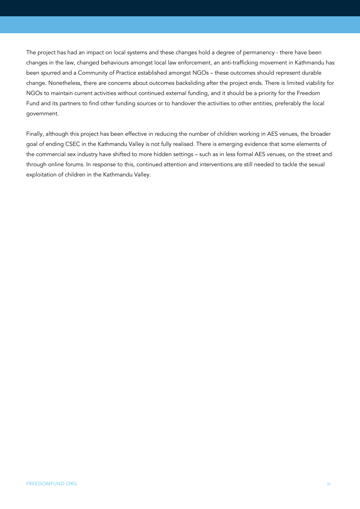The project has had an impact on local systems and these changes hold a degree of permanency - there have been changes in the law, changed behaviours amongst local law enforcement, an anti-trafficking movement in Kathmandu has been spurred and a Community of Practice established amongst NGOs – these outcomes should represent durable change. Nonetheless, there are concerns about outcomes backsliding after the project ends. There is limited viability for NGOs to maintain current activities without continued external funding, and it should be a priority for the Freedom Fund and its partners to find other funding sources or to handover the activities to other entities, preferably the local government.

Finally, although this project has been effective in reducing the number of children working in AES venues, the broader goal of ending CSEC in the Kathmandu Valley is not fully realised. There is emerging evidence that some elements of the commercial sex industry have shifted to more hidden settings – such as in less formal AES venues, on the street and through online forums. In response to this, continued attention and interventions are still needed to tackle the sexual exploitation of children in the Kathmandu Valley.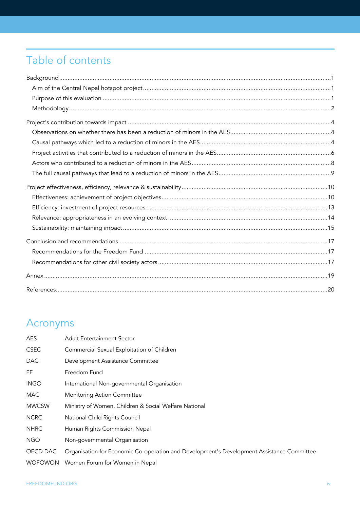## Table of contents

## Acronyms

| AES            | <b>Adult Entertainment Sector</b>                                                         |
|----------------|-------------------------------------------------------------------------------------------|
| <b>CSEC</b>    | Commercial Sexual Exploitation of Children                                                |
| <b>DAC</b>     | Development Assistance Committee                                                          |
| FF.            | Freedom Fund                                                                              |
| <b>INGO</b>    | International Non-governmental Organisation                                               |
| <b>MAC</b>     | <b>Monitoring Action Committee</b>                                                        |
| <b>MWCSW</b>   | Ministry of Women, Children & Social Welfare National                                     |
| <b>NCRC</b>    | National Child Rights Council                                                             |
| <b>NHRC</b>    | Human Rights Commission Nepal                                                             |
| <b>NGO</b>     | Non-governmental Organisation                                                             |
| OECD DAC       | Organisation for Economic Co-operation and Development's Development Assistance Committee |
| <b>WOFOWON</b> | Women Forum for Women in Nepal                                                            |
|                |                                                                                           |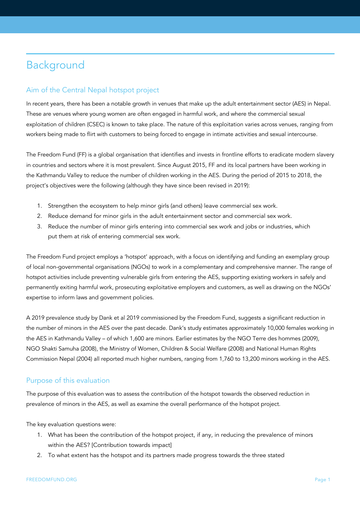## Background

## Aim of the Central Nepal hotspot project

In recent years, there has been a notable growth in venues that make up the adult entertainment sector (AES) in Nepal. These are venues where young women are often engaged in harmful work, and where the commercial sexual exploitation of children (CSEC) is known to take place. The nature of this exploitation varies across venues, ranging from workers being made to flirt with customers to being forced to engage in intimate activities and sexual intercourse.

The Freedom Fund (FF) is a global organisation that identifies and invests in frontline efforts to eradicate modern slavery in countries and sectors where it is most prevalent. Since August 2015, FF and its local partners have been working in the Kathmandu Valley to reduce the number of children working in the AES. During the period of 2015 to 2018, the project's objectives were the following (although they have since been revised in 2019):

- 1. Strengthen the ecosystem to help minor girls (and others) leave commercial sex work.
- 2. Reduce demand for minor girls in the adult entertainment sector and commercial sex work.
- 3. Reduce the number of minor girls entering into commercial sex work and jobs or industries, which put them at risk of entering commercial sex work.

The Freedom Fund project employs a 'hotspot' approach, with a focus on identifying and funding an exemplary group of local non-governmental organisations (NGOs) to work in a complementary and comprehensive manner. The range of hotspot activities include preventing vulnerable girls from entering the AES, supporting existing workers in safely and permanently exiting harmful work, prosecuting exploitative employers and customers, as well as drawing on the NGOs' expertise to inform laws and government policies.

A 2019 prevalence study by Dank et al 2019 commissioned by the Freedom Fund, suggests a significant reduction in the number of minors in the AES over the past decade. Dank's study estimates approximately 10,000 females working in the AES in Kathmandu Valley – of which 1,600 are minors. Earlier estimates by the NGO Terre des hommes (2009), NGO Shakti Samuha (2008), the Ministry of Women, Children & Social Welfare (2008) and National Human Rights Commission Nepal (2004) all reported much higher numbers, ranging from 1,760 to 13,200 minors working in the AES.

#### Purpose of this evaluation

The purpose of this evaluation was to assess the contribution of the hotspot towards the observed reduction in prevalence of minors in the AES, as well as examine the overall performance of the hotspot project.

The key evaluation questions were:

- 1. What has been the contribution of the hotspot project, if any, in reducing the prevalence of minors within the AES? [Contribution towards impact]
- 2. To what extent has the hotspot and its partners made progress towards the three stated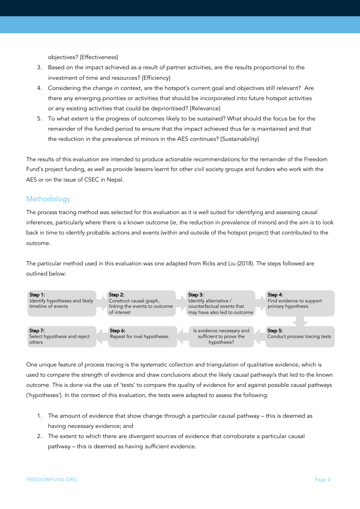objectives? [Effectiveness]

- 3. Based on the impact achieved as a result of partner activities, are the results proportional to the investment of time and resources? [Efficiency]
- 4. Considering the change in context, are the hotspot's current goal and objectives still relevant? Are there any emerging priorities or activities that should be incorporated into future hotspot activities or any existing activities that could be deprioritised? [Relevance]
- 5. To what extent is the progress of outcomes likely to be sustained? What should the focus be for the remainder of the funded period to ensure that the impact achieved thus far is maintained and that the reduction in the prevalence of minors in the AES continues? [Sustainability]

The results of this evaluation are intended to produce actionable recommendations for the remainder of the Freedom Fund's project funding, as well as provide lessons learnt for other civil society groups and funders who work with the AES or on the issue of CSEC in Nepal.

### Methodology

The process tracing method was selected for this evaluation as it is well suited for identifying and assessing causal inferences, particularly where there is a known outcome (ie, the reduction in prevalence of minors) and the aim is to look back in time to identify probable actions and events (within and outside of the hotspot project) that contributed to the outcome.

The particular method used in this evaluation was one adapted from Ricks and Liu (2018). The steps followed are outlined below:



One unique feature of process tracing is the systematic collection and triangulation of qualitative evidence, which is used to compare the strength of evidence and draw conclusions about the likely causal pathway/s that led to the known outcome. This is done via the use of 'tests' to compare the quality of evidence for and against possible causal pathways ('hypotheses'). In the context of this evaluation, the tests were adapted to assess the following:

- 1. The amount of evidence that show change through a particular causal pathway this is deemed as having *necessary* evidence; and
- 2. The extent to which there are divergent sources of evidence that corroborate a particular causal pathway – this is deemed as having *sufficient* evidence.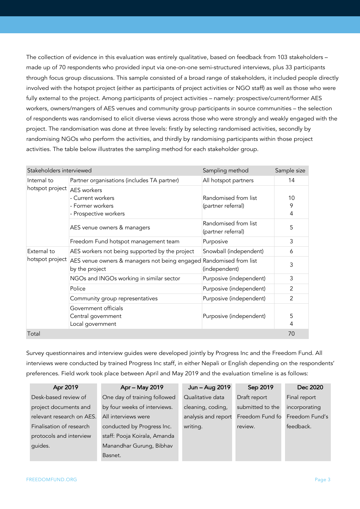The collection of evidence in this evaluation was entirely qualitative, based on feedback from 103 stakeholders – made up of 70 respondents who provided input via one-on-one semi-structured interviews, plus 33 participants through focus group discussions. This sample consisted of a broad range of stakeholders, it included people directly involved with the hotspot project (either as participants of project activities or NGO staff) as well as those who were fully external to the project. Among participants of project activities – namely: prospective/current/former AES workers, owners/mangers of AES venues and community group participants in source communities – the selection of respondents was randomised to elicit diverse views across those who were strongly and weakly engaged with the project. The randomisation was done at three levels: firstly by selecting randomised activities, secondly by randomising NGOs who perform the activities, and thirdly by randomising participants within those project activities. The table below illustrates the sampling method for each stakeholder group.

| Stakeholders interviewed       |                                                                                      | Sampling method                            | Sample size    |
|--------------------------------|--------------------------------------------------------------------------------------|--------------------------------------------|----------------|
| Internal to<br>hotspot project | Partner organisations (includes TA partner)                                          | All hotspot partners                       | 14             |
|                                | <b>AES</b> workers<br>- Current workers<br>- Former workers<br>- Prospective workers | Randomised from list<br>(partner referral) | 10<br>9<br>4   |
|                                | AES venue owners & managers                                                          | Randomised from list<br>(partner referral) | 5              |
|                                | Freedom Fund hotspot management team                                                 | Purposive                                  | 3              |
| External to<br>hotspot project | AES workers not being supported by the project                                       | Snowball (independent)                     | 6              |
|                                | AES venue owners & managers not being engaged Randomised from list<br>by the project | (independent)                              | 3              |
|                                | NGOs and INGOs working in similar sector                                             | Purposive (independent)                    | 3              |
|                                | Police                                                                               | Purposive (independent)                    | $\overline{2}$ |
|                                | Community group representatives                                                      | Purposive (independent)                    | 2              |
|                                | Government officials<br>Central government<br>Local government                       | Purposive (independent)                    | 5<br>4         |
| Total                          |                                                                                      |                                            | 70             |

Survey questionnaires and interview guides were developed jointly by Progress Inc and the Freedom Fund. All interviews were conducted by trained Progress Inc staff, in either Nepali or English depending on the respondents' preferences. Field work took place between April and May 2019 and the evaluation timeline is as follows:

| Apr 2019                  | Apr - May 2019               | Jun - Aug 2019      | Sep 2019         | Dec 2020       |
|---------------------------|------------------------------|---------------------|------------------|----------------|
| Desk-based review of      | One day of training followed | Qualitative data    | Draft report     | Final report   |
| project documents and     | by four weeks of interviews. | cleaning, coding,   | submitted to the | incorporating  |
| relevant research on AES. | All interviews were          | analysis and report | Freedom Fund fo  | Freedom Fund's |
| Finalisation of research  | conducted by Progress Inc.   | writing.            | review.          | feedback.      |
| protocols and interview   | staff: Pooja Koirala, Amanda |                     |                  |                |
| guides.                   | Manandhar Gurung, Bibhav     |                     |                  |                |
|                           | Basnet.                      |                     |                  |                |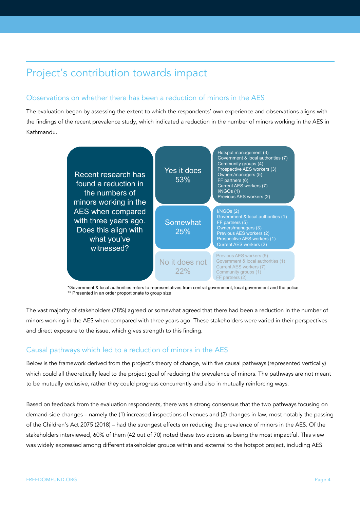## Project's contribution towards impact

### Observations on whether there has been a reduction of minors in the AES

The evaluation began by assessing the extent to which the respondents' own experience and observations aligns with the findings of the recent prevalence study, which indicated a reduction in the number of minors working in the AES in Kathmandu.



\*Government & local authorities refers to representatives from central government, local government and the police \*\* Presented in an order proportionate to group size

The vast majority of stakeholders (78%) agreed or somewhat agreed that there had been a reduction in the number of minors working in the AES when compared with three years ago. These stakeholders were varied in their perspectives and direct exposure to the issue, which gives strength to this finding.

## Causal pathways which led to a reduction of minors in the AES

Below is the framework derived from the project's theory of change, with five causal pathways (represented vertically) which could all theoretically lead to the project goal of reducing the prevalence of minors. The pathways are not meant to be mutually exclusive, rather they could progress concurrently and also in mutually reinforcing ways.

Based on feedback from the evaluation respondents, there was a strong consensus that the two pathways focusing on demand-side changes – namely the (1) increased inspections of venues and (2) changes in law, most notably the passing of the Children's Act 2075 (2018) – had the strongest effects on reducing the prevalence of minors in the AES. Of the stakeholders interviewed, 60% of them (42 out of 70) noted these two actions as being the most impactful. This view was widely expressed among different stakeholder groups within and external to the hotspot project, including AES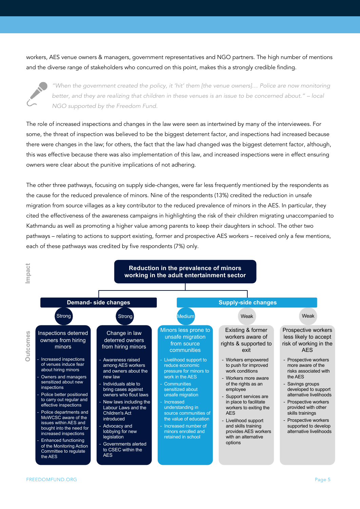workers, AES venue owners & managers, government representatives and NGO partners. The high number of mentions and the diverse range of stakeholders who concurred on this point, makes this a strongly credible finding.



*"When the government created the policy, it 'hit' them [the venue owners]… Police are now monitoring better, and they are realizing that children in these venues is an issue to be concerned about." – local NGO supported by the Freedom Fund.*

The role of increased inspections and changes in the law were seen as intertwined by many of the interviewees. For some, the threat of inspection was believed to be the biggest deterrent factor, and inspections had increased because there were changes in the law; for others, the fact that the law had changed was the biggest deterrent factor, although, this was effective because there was also implementation of this law, and increased inspections were in effect ensuring owners were clear about the punitive implications of not adhering.

The other three pathways, focusing on supply side-changes, were far less frequently mentioned by the respondents as the cause for the reduced prevalence of minors. Nine of the respondents (13%) credited the reduction in unsafe migration from source villages as a key contributor to the reduced prevalence of minors in the AES. In particular, they cited the effectiveness of the awareness campaigns in highlighting the risk of their children migrating unaccompanied to Kathmandu as well as promoting a higher value among parents to keep their daughters in school. The other two pathways – relating to actions to support existing, former and prospective AES workers – received only a few mentions, each of these pathways was credited by five respondents (7%) only.

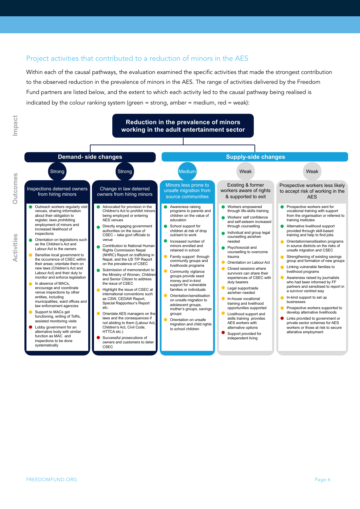### Project activities that contributed to a reduction of minors in the AES

Within each of the causal pathways, the evaluation examined the specific activities that made the strongest contribution to the observed reduction in the prevalence of minors in the AES. The range of activities delivered by the Freedom Fund partners are listed below, and the extent to which each activity led to the causal pathway being realised is indicated by the colour ranking system (green = strong, amber = medium, red = weak):



**Outcomes**

**Outcomes**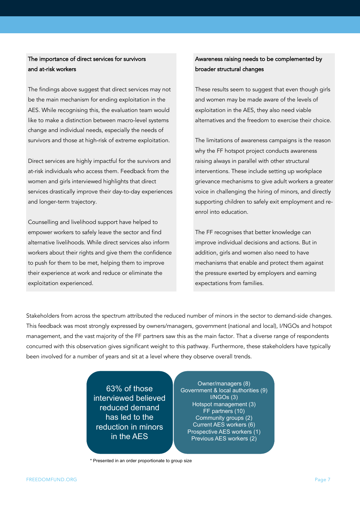### The importance of direct services for survivors and at-risk workers

The findings above suggest that direct services may not be the main mechanism for ending exploitation in the AES. While recognising this, the evaluation team would like to make a distinction between macro-level systems change and individual needs, especially the needs of survivors and those at high-risk of extreme exploitation.

Direct services are highly impactful for the survivors and at-risk individuals who access them. Feedback from the women and girls interviewed highlights that direct services drastically improve their day-to-day experiences and longer-term trajectory.

Counselling and livelihood support have helped to empower workers to safely leave the sector and find alternative livelihoods. While direct services also inform workers about their rights and give them the confidence to push for them to be met, helping them to improve their experience at work and reduce or eliminate the exploitation experienced.

## Awareness raising needs to be complemented by broader structural changes

These results seem to suggest that even though girls and women may be made aware of the levels of exploitation in the AES, they also need viable alternatives and the freedom to exercise their choice.

The limitations of awareness campaigns is the reason why the FF hotspot project conducts awareness raising always in parallel with other structural interventions. These include setting up workplace grievance mechanisms to give adult workers a greater voice in challenging the hiring of minors, and directly supporting children to safely exit employment and reenrol into education.

The FF recognises that better knowledge can improve individual decisions and actions. But in addition, girls and women also need to have mechanisms that enable and protect them against the pressure exerted by employers and earning expectations from families.

Stakeholders from across the spectrum attributed the reduced number of minors in the sector to demand-side changes. This feedback was most strongly expressed by owners/managers, government (national and local), I/NGOs and hotspot management, and the vast majority of the FF partners saw this as the main factor. That a diverse range of respondents concurred with this observation gives significant weight to this pathway. Furthermore, these stakeholders have typically been involved for a number of years and sit at a level where they observe overall trends.

> 63% of those interviewed believed reduced demand has led to the reduction in minors in the AES

Owner/managers (8) Government & local authorities (9) I/NGOs (3) Hotspot management (3) FF partners (10) Community groups (2) Current AES workers (6) Prospective AES workers (1) Previous AES workers (2)

\* Presented in an order proportionate to group size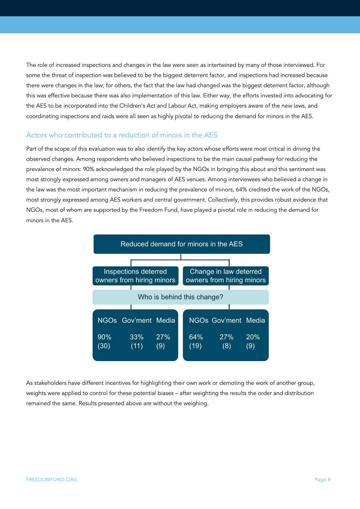The role of increased inspections and changes in the law were seen as intertwined by many of those interviewed. For some the threat of inspection was believed to be the biggest deterrent factor, and inspections had increased because there were changes in the law; for others, the fact that the law had changed was the biggest deterrent factor, although this was effective because there was also implementation of this law. Either way, the efforts invested into advocating for the AES to be incorporated into the Children's Act and Labour Act, making employers aware of the new laws, and coordinating inspections and raids were all seen as highly pivotal to reducing the demand for minors in the AES.

#### Actors who contributed to a reduction of minors in the AES

Part of the scope of this evaluation was to also identify the key actors whose efforts were most critical in driving the observed changes. Among respondents who believed inspections to be the main causal pathway for reducing the prevalence of minors: 90% acknowledged the role played by the NGOs in bringing this about and this sentiment was most strongly expressed among owners and managers of AES venues. Among interviewees who believed a change in the law was the most important mechanism in reducing the prevalence of minors, 64% credited the work of the NGOs, most strongly expressed among AES workers and central government. Collectively, this provides robust evidence that NGOs, most of whom are supported by the Freedom Fund, have played a pivotal role in reducing the demand for minors in the AES.



As stakeholders have different incentives for highlighting their own work or demoting the work of another group, weights were applied to control for these potential biases – after weighting the results the order and distribution remained the same. Results presented above are without the weighing.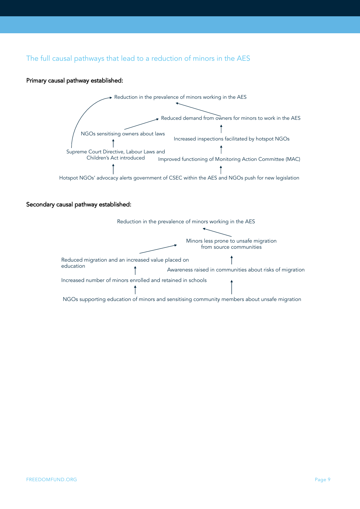## The full causal pathways that lead to a reduction of minors in the AES

#### Primary causal pathway established:



#### Secondary causal pathway established:



In contrast of minors enrolled and retained and retained in schools  $\mathcal{L}$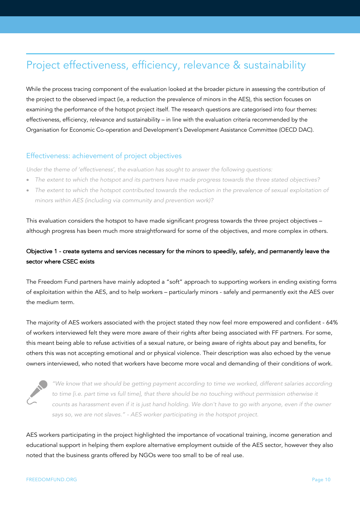## Project effectiveness, efficiency, relevance & sustainability

While the process tracing component of the evaluation looked at the broader picture in assessing the contribution of the project to the observed impact (ie, a reduction the prevalence of minors in the AES), this section focuses on examining the performance of the hotspot project itself. The research questions are categorised into four themes: effectiveness, efficiency, relevance and sustainability – in line with the evaluation criteria recommended by the Organisation for Economic Co-operation and Development's Development Assistance Committee (OECD DAC).

### Effectiveness: achievement of project objectives

*Under the theme of 'effectiveness', the evaluation has sought to answer the following questions:*

- The extent to which the hotspot and its partners have made progress towards the three stated objectives?
- *The extent to which the hotspot contributed towards the reduction in the prevalence of sexual exploitation of minors within AES (including via community and prevention work)?*

This evaluation considers the hotspot to have made significant progress towards the three project objectives – although progress has been much more straightforward for some of the objectives, and more complex in others.

## Objective 1 - create systems and services necessary for the minors to speedily, safely, and permanently leave the sector where CSEC exists

The Freedom Fund partners have mainly adopted a "soft" approach to supporting workers in ending existing forms of exploitation within the AES, and to help workers – particularly minors - safely and permanently exit the AES over the medium term.

The majority of AES workers associated with the project stated they now feel more empowered and confident - 64% of workers interviewed felt they were more aware of their rights after being associated with FF partners. For some, this meant being able to refuse activities of a sexual nature, or being aware of rights about pay and benefits, for others this was not accepting emotional and or physical violence. Their description was also echoed by the venue owners interviewed, who noted that workers have become more vocal and demanding of their conditions of work.



*"We know that we should be getting payment according to time we worked, different salaries according*  to time [i.e. part time vs full time], that there should be no touching without permission otherwise it *counts as harassment even if it is just hand holding. We don't have to go with anyone, even if the owner says so, we are not slaves." - AES worker participating in the hotspot project.*

AES workers participating in the project highlighted the importance of vocational training, income generation and educational support in helping them explore alternative employment outside of the AES sector, however they also noted that the business grants offered by NGOs were too small to be of real use.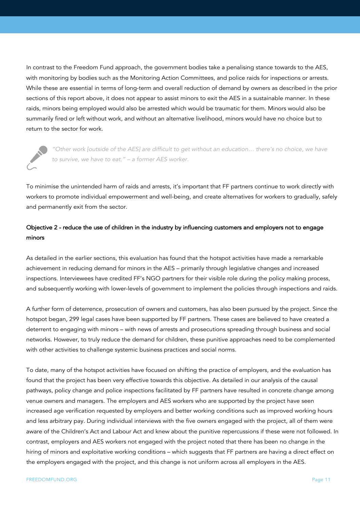In contrast to the Freedom Fund approach, the government bodies take a penalising stance towards to the AES, with monitoring by bodies such as the Monitoring Action Committees, and police raids for inspections or arrests. While these are essential in terms of long-term and overall reduction of demand by owners as described in the prior sections of this report above, it does not appear to assist minors to exit the AES in a sustainable manner. In these raids, minors being employed would also be arrested which would be traumatic for them. Minors would also be summarily fired or left without work, and without an alternative livelihood, minors would have no choice but to return to the sector for work.



*"Other work [outside of the AES] are difficult to get without an education… there's no choice, we have to survive, we have to eat." – a former AES worker.*

To minimise the unintended harm of raids and arrests, it's important that FF partners continue to work directly with workers to promote individual empowerment and well-being, and create alternatives for workers to gradually, safely and permanently exit from the sector.

## Objective 2 - reduce the use of children in the industry by influencing customers and employers not to engage minors

As detailed in the earlier sections, this evaluation has found that the hotspot activities have made a remarkable achievement in reducing demand for minors in the AES – primarily through legislative changes and increased inspections. Interviewees have credited FF's NGO partners for their visible role during the policy making process, and subsequently working with lower-levels of government to implement the policies through inspections and raids.

A further form of deterrence, prosecution of owners and customers, has also been pursued by the project. Since the hotspot began, 299 legal cases have been supported by FF partners. These cases are believed to have created a deterrent to engaging with minors – with news of arrests and prosecutions spreading through business and social networks. However, to truly reduce the demand for children, these punitive approaches need to be complemented with other activities to challenge systemic business practices and social norms.

To date, many of the hotspot activities have focused on shifting the practice of employers, and the evaluation has found that the project has been very effective towards this objective. As detailed in our analysis of the causal pathways, policy change and police inspections facilitated by FF partners have resulted in concrete change among venue owners and managers. The employers and AES workers who are supported by the project have seen increased age verification requested by employers and better working conditions such as improved working hours and less arbitrary pay. During individual interviews with the five owners engaged with the project, all of them were aware of the Children's Act and Labour Act and knew about the punitive repercussions if these were not followed. In contrast, employers and AES workers not engaged with the project noted that there has been no change in the hiring of minors and exploitative working conditions – which suggests that FF partners are having a direct effect on the employers engaged with the project, and this change is not uniform across all employers in the AES.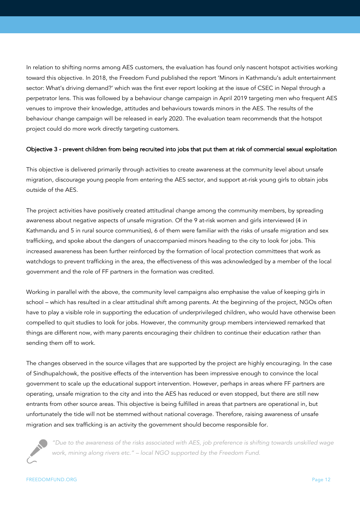In relation to shifting norms among AES customers, the evaluation has found only nascent hotspot activities working toward this objective. In 2018, the Freedom Fund published the report 'Minors in Kathmandu's adult entertainment sector: What's driving demand?' which was the first ever report looking at the issue of CSEC in Nepal through a perpetrator lens. This was followed by a behaviour change campaign in April 2019 targeting men who frequent AES venues to improve their knowledge, attitudes and behaviours towards minors in the AES. The results of the behaviour change campaign will be released in early 2020. The evaluation team recommends that the hotspot project could do more work directly targeting customers.

#### Objective 3 - prevent children from being recruited into jobs that put them at risk of commercial sexual exploitation

This objective is delivered primarily through activities to create awareness at the community level about unsafe migration, discourage young people from entering the AES sector, and support at-risk young girls to obtain jobs outside of the AES.

The project activities have positively created attitudinal change among the community members, by spreading awareness about negative aspects of unsafe migration. Of the 9 at-risk women and girls interviewed (4 in Kathmandu and 5 in rural source communities), 6 of them were familiar with the risks of unsafe migration and sex trafficking, and spoke about the dangers of unaccompanied minors heading to the city to look for jobs. This increased awareness has been further reinforced by the formation of local protection committees that work as watchdogs to prevent trafficking in the area, the effectiveness of this was acknowledged by a member of the local government and the role of FF partners in the formation was credited.

Working in parallel with the above, the community level campaigns also emphasise the value of keeping girls in school – which has resulted in a clear attitudinal shift among parents. At the beginning of the project, NGOs often have to play a visible role in supporting the education of underprivileged children, who would have otherwise been compelled to quit studies to look for jobs. However, the community group members interviewed remarked that things are different now, with many parents encouraging their children to continue their education rather than sending them off to work.

The changes observed in the source villages that are supported by the project are highly encouraging. In the case of Sindhupalchowk, the positive effects of the intervention has been impressive enough to convince the local government to scale up the educational support intervention. However, perhaps in areas where FF partners are operating, unsafe migration to the city and into the AES has reduced or even stopped, but there are still new entrants from other source areas. This objective is being fulfilled in areas that partners are operational in, but unfortunately the tide will not be stemmed without national coverage. Therefore, raising awareness of unsafe migration and sex trafficking is an activity the government should become responsible for.



*"Due to the awareness of the risks associated with AES, job preference is shifting towards unskilled wage work, mining along rivers etc." – local NGO supported by the Freedom Fund.*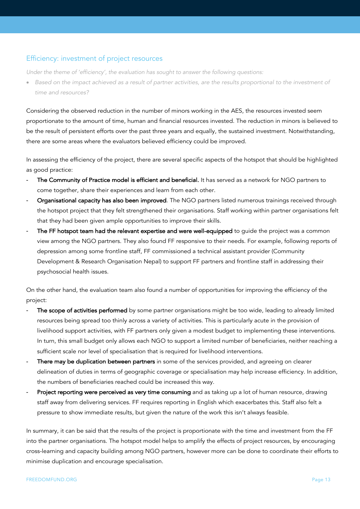### Efficiency: investment of project resources

*Under the theme of 'efficiency', the evaluation has sought to answer the following questions:*

• Based on the impact achieved as a result of partner activities, are the results proportional to the investment of *time and resources?*

Considering the observed reduction in the number of minors working in the AES, the resources invested seem proportionate to the amount of time, human and financial resources invested. The reduction in minors is believed to be the result of persistent efforts over the past three years and equally, the sustained investment. Notwithstanding, there are some areas where the evaluators believed efficiency could be improved.

In assessing the efficiency of the project, there are several specific aspects of the hotspot that should be highlighted as good practice:

- The Community of Practice model is efficient and beneficial. It has served as a network for NGO partners to come together, share their experiences and learn from each other.
- Organisational capacity has also been improved. The NGO partners listed numerous trainings received through the hotspot project that they felt strengthened their organisations. Staff working within partner organisations felt that they had been given ample opportunities to improve their skills.
- The FF hotspot team had the relevant expertise and were well-equipped to guide the project was a common view among the NGO partners. They also found FF responsive to their needs. For example, following reports of depression among some frontline staff, FF commissioned a technical assistant provider (Community Development & Research Organisation Nepal) to support FF partners and frontline staff in addressing their psychosocial health issues.

On the other hand, the evaluation team also found a number of opportunities for improving the efficiency of the project:

- The scope of activities performed by some partner organisations might be too wide, leading to already limited resources being spread too thinly across a variety of activities. This is particularly acute in the provision of livelihood support activities, with FF partners only given a modest budget to implementing these interventions. In turn, this small budget only allows each NGO to support a limited number of beneficiaries, neither reaching a sufficient scale nor level of specialisation that is required for livelihood interventions.
- There may be duplication between partners in some of the services provided, and agreeing on clearer delineation of duties in terms of geographic coverage or specialisation may help increase efficiency. In addition, the numbers of beneficiaries reached could be increased this way.
- Project reporting were perceived as very time consuming and as taking up a lot of human resource, drawing staff away from delivering services. FF requires reporting in English which exacerbates this. Staff also felt a pressure to show immediate results, but given the nature of the work this isn't always feasible.

In summary, it can be said that the results of the project is proportionate with the time and investment from the FF into the partner organisations. The hotspot model helps to amplify the effects of project resources, by encouraging cross-learning and capacity building among NGO partners, however more can be done to coordinate their efforts to minimise duplication and encourage specialisation.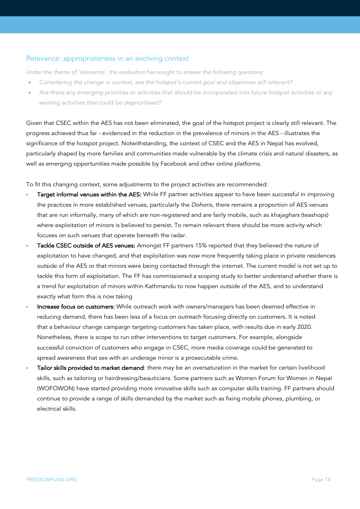#### Relevance: appropriateness in an evolving context

*Under the theme of 'relevance', the evaluation has sought to answer the following questions:*

- *Considering the change in context, are the hotspot's current goal and objectives still relevant?*
- *Are there any emerging priorities or activities that should be incorporated into future hotspot activities or any existing activities that could be deprioritised?*

Given that CSEC within the AES has not been eliminated, the goal of the hotspot project is clearly still relevant. The progress achieved thus far - evidenced in the reduction in the prevalence of minors in the AES - illustrates the significance of the hotspot project. Notwithstanding, the context of CSEC and the AES in Nepal has evolved, particularly shaped by more families and communities made vulnerable by the climate crisis and natural disasters, as well as emerging opportunities made possible by Facebook and other online platforms.

To fit this changing context, some adjustments to the project activities are recommended:

- Target informal venues within the AES: While FF partner activities appear to have been successful in improving the practices in more established venues, particularly the *Dohoris*, there remains a proportion of AES venues that are run informally, many of which are non-registered and are fairly mobile, such as *khajaghars* (teashops) where exploitation of minors is believed to persist. To remain relevant there should be more activity which focuses on such venues that operate beneath the radar.
- Tackle CSEC outside of AES venues: Amongst FF partners 15% reported that they believed the nature of exploitation to have changed, and that exploitation was now more frequently taking place in private residences outside of the AES or that minors were being contacted through the internet. The current model is not set up to tackle this form of exploitation. The FF has commissioned a scoping study to better understand whether there is a trend for exploitation of minors within Kathmandu to now happen outside of the AES, and to understand exactly what form this is now taking
- Increase focus on customers: While outreach work with owners/managers has been deemed effective in reducing demand, there has been less of a focus on outreach focusing directly on customers. It is noted that a behaviour change campaign targeting customers has taken place, with results due in early 2020. Nonetheless, there is scope to run other interventions to target customers. For example, alongside successful conviction of customers who engage in CSEC, more media coverage could be generated to spread awareness that sex with an underage minor is a prosecutable crime.
- Tailor skills provided to market demand: there may be an oversaturation in the market for certain livelihood skills, such as tailoring or hairdressing/beauticians. Some partners such as Women Forum for Women in Nepal (WOFOWON) have started providing more innovative skills such as computer skills training. FF partners should continue to provide a range of skills demanded by the market such as fixing mobile phones, plumbing, or electrical skills.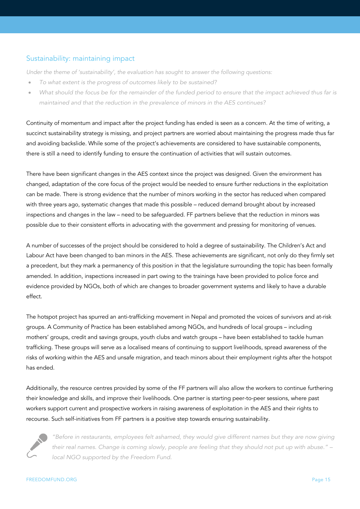## Sustainability: maintaining impact

*Under the theme of 'sustainability', the evaluation has sought to answer the following questions:*

- *To what extent is the progress of outcomes likely to be sustained?*
- What should the focus be for the remainder of the funded period to ensure that the impact achieved thus far is *maintained and that the reduction in the prevalence of minors in the AES continues?*

Continuity of momentum and impact after the project funding has ended is seen as a concern. At the time of writing, a succinct sustainability strategy is missing, and project partners are worried about maintaining the progress made thus far and avoiding backslide. While some of the project's achievements are considered to have sustainable components, there is still a need to identify funding to ensure the continuation of activities that will sustain outcomes.

There have been significant changes in the AES context since the project was designed. Given the environment has changed, adaptation of the core focus of the project would be needed to ensure further reductions in the exploitation can be made. There is strong evidence that the number of minors working in the sector has reduced when compared with three years ago, systematic changes that made this possible – reduced demand brought about by increased inspections and changes in the law – need to be safeguarded. FF partners believe that the reduction in minors was possible due to their consistent efforts in advocating with the government and pressing for monitoring of venues.

A number of successes of the project should be considered to hold a degree of sustainability. The Children's Act and Labour Act have been changed to ban minors in the AES. These achievements are significant, not only do they firmly set a precedent, but they mark a permanency of this position in that the legislature surrounding the topic has been formally amended. In addition, inspections increased in part owing to the trainings have been provided to police force and evidence provided by NGOs, both of which are changes to broader government systems and likely to have a durable effect.

The hotspot project has spurred an anti-trafficking movement in Nepal and promoted the voices of survivors and at-risk groups. A Community of Practice has been established among NGOs, and hundreds of local groups – including mothers' groups, credit and savings groups, youth clubs and watch groups – have been established to tackle human trafficking. These groups will serve as a localised means of continuing to support livelihoods, spread awareness of the risks of working within the AES and unsafe migration, and teach minors about their employment rights after the hotspot has ended.

Additionally, the resource centres provided by some of the FF partners will also allow the workers to continue furthering their knowledge and skills, and improve their livelihoods. One partner is starting peer-to-peer sessions, where past workers support current and prospective workers in raising awareness of exploitation in the AES and their rights to recourse. Such self-initiatives from FF partners is a positive step towards ensuring sustainability.



*"Before in restaurants, employees felt ashamed, they would give different names but they are now giving their real names. Change is coming slowly, people are feeling that they should not put up with abuse." – local NGO supported by the Freedom Fund.*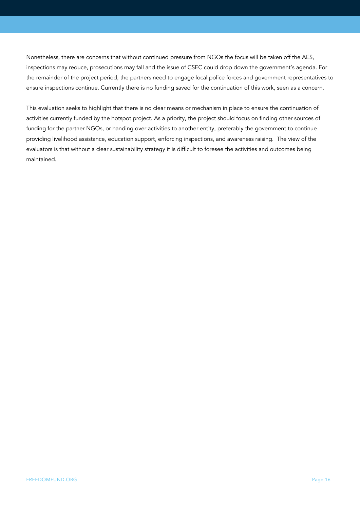Nonetheless, there are concerns that without continued pressure from NGOs the focus will be taken off the AES, inspections may reduce, prosecutions may fall and the issue of CSEC could drop down the government's agenda. For the remainder of the project period, the partners need to engage local police forces and government representatives to ensure inspections continue. Currently there is no funding saved for the continuation of this work, seen as a concern.

This evaluation seeks to highlight that there is no clear means or mechanism in place to ensure the continuation of activities currently funded by the hotspot project. As a priority, the project should focus on finding other sources of funding for the partner NGOs, or handing over activities to another entity, preferably the government to continue providing livelihood assistance, education support, enforcing inspections, and awareness raising. The view of the evaluators is that without a clear sustainability strategy it is difficult to foresee the activities and outcomes being maintained.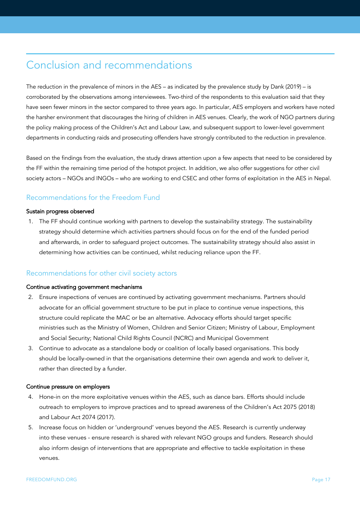## Conclusion and recommendations

The reduction in the prevalence of minors in the AES – as indicated by the prevalence study by Dank (2019) – is corroborated by the observations among interviewees. Two-third of the respondents to this evaluation said that they have seen fewer minors in the sector compared to three years ago. In particular, AES employers and workers have noted the harsher environment that discourages the hiring of children in AES venues. Clearly, the work of NGO partners during the policy making process of the Children's Act and Labour Law, and subsequent support to lower-level government departments in conducting raids and prosecuting offenders have strongly contributed to the reduction in prevalence.

Based on the findings from the evaluation, the study draws attention upon a few aspects that need to be considered by the FF within the remaining time period of the hotspot project. In addition, we also offer suggestions for other civil society actors – NGOs and INGOs – who are working to end CSEC and other forms of exploitation in the AES in Nepal.

## Recommendations for the Freedom Fund

#### Sustain progress observed

1. The FF should continue working with partners to develop the sustainability strategy. The sustainability strategy should determine which activities partners should focus on for the end of the funded period and afterwards, in order to safeguard project outcomes. The sustainability strategy should also assist in determining how activities can be continued, whilst reducing reliance upon the FF.

#### Recommendations for other civil society actors

#### Continue activating government mechanisms

- 2. Ensure inspections of venues are continued by activating government mechanisms. Partners should advocate for an official government structure to be put in place to continue venue inspections, this structure could replicate the MAC or be an alternative. Advocacy efforts should target specific ministries such as the Ministry of Women, Children and Senior Citizen; Ministry of Labour, Employment and Social Security; National Child Rights Council (NCRC) and Municipal Government
- 3. Continue to advocate as a standalone body or coalition of locally based organisations. This body should be locally-owned in that the organisations determine their own agenda and work to deliver it, rather than directed by a funder.

#### Continue pressure on employers

- 4. Hone-in on the more exploitative venues within the AES, such as dance bars. Efforts should include outreach to employers to improve practices and to spread awareness of the Children's Act 2075 (2018) and Labour Act 2074 (2017).
- 5. Increase focus on hidden or 'underground' venues beyond the AES. Research is currently underway into these venues - ensure research is shared with relevant NGO groups and funders. Research should also inform design of interventions that are appropriate and effective to tackle exploitation in these venues.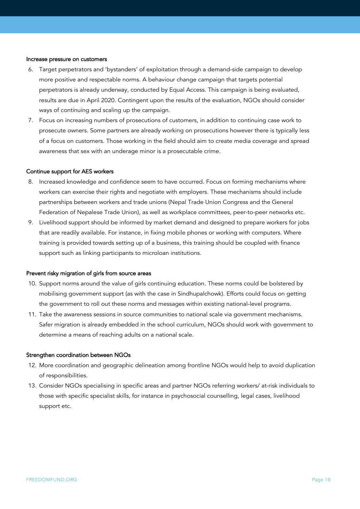#### Increase pressure on customers

- 6. Target perpetrators and 'bystanders' of exploitation through a demand-side campaign to develop more positive and respectable norms. A behaviour change campaign that targets potential perpetrators is already underway, conducted by Equal Access. This campaign is being evaluated, results are due in April 2020. Contingent upon the results of the evaluation, NGOs should consider ways of continuing and scaling up the campaign.
- 7. Focus on increasing numbers of prosecutions of customers, in addition to continuing case work to prosecute owners. Some partners are already working on prosecutions however there is typically less of a focus on customers. Those working in the field should aim to create media coverage and spread awareness that sex with an underage minor is a prosecutable crime.

#### Continue support for AES workers

- 8. Increased knowledge and confidence seem to have occurred. Focus on forming mechanisms where workers can exercise their rights and negotiate with employers. These mechanisms should include partnerships between workers and trade unions (Nepal Trade Union Congress and the General Federation of Nepalese Trade Union), as well as workplace committees, peer-to-peer networks etc.
- 9. Livelihood support should be informed by market demand and designed to prepare workers for jobs that are readily available. For instance, in fixing mobile phones or working with computers. Where training is provided towards setting up of a business, this training should be coupled with finance support such as linking participants to microloan institutions.

#### Prevent risky migration of girls from source areas

- 10. Support norms around the value of girls continuing education. These norms could be bolstered by mobilising government support (as with the case in Sindhupalchowk). Efforts could focus on getting the government to roll out these norms and messages within existing national-level programs.
- 11. Take the awareness sessions in source communities to national scale via government mechanisms. Safer migration is already embedded in the school curriculum, NGOs should work with government to determine a means of reaching adults on a national scale.

#### Strengthen coordination between NGOs

- 12. More coordination and geographic delineation among frontline NGOs would help to avoid duplication of responsibilities.
- 13. Consider NGOs specialising in specific areas and partner NGOs referring workers/ at-risk individuals to those with specific specialist skills, for instance in psychosocial counselling, legal cases, livelihood support etc.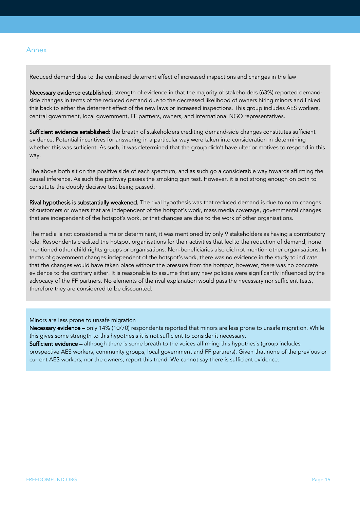#### Annex

Reduced demand due to the combined deterrent effect of increased inspections and changes in the law

Necessary evidence established: strength of evidence in that the majority of stakeholders (63%) reported demandside changes in terms of the reduced demand due to the decreased likelihood of owners hiring minors and linked this back to either the deterrent effect of the new laws or increased inspections. This group includes AES workers, central government, local government, FF partners, owners, and international NGO representatives.

Sufficient evidence established: the breath of stakeholders crediting demand-side changes constitutes sufficient evidence. Potential incentives for answering in a particular way were taken into consideration in determining whether this was sufficient. As such, it was determined that the group didn't have ulterior motives to respond in this way.

The above both sit on the positive side of each spectrum, and as such go a considerable way towards affirming the causal inference. As such the pathway passes the smoking gun test. However, it is not strong enough on both to constitute the doubly decisive test being passed.

Rival hypothesis is substantially weakened. The rival hypothesis was that reduced demand is due to norm changes of customers or owners that are independent of the hotspot's work, mass media coverage, governmental changes that are independent of the hotspot's work, or that changes are due to the work of other organisations.

The media is not considered a major determinant, it was mentioned by only 9 stakeholders as having a contributory role. Respondents credited the hotspot organisations for their activities that led to the reduction of demand, none mentioned other child rights groups or organisations. Non-beneficiaries also did not mention other organisations. In terms of government changes independent of the hotspot's work, there was no evidence in the study to indicate that the changes would have taken place without the pressure from the hotspot, however, there was no concrete evidence to the contrary either. It is reasonable to assume that any new policies were significantly influenced by the advocacy of the FF partners. No elements of the rival explanation would pass the necessary nor sufficient tests, therefore they are considered to be discounted.

Minors are less prone to unsafe migration

Necessary evidence – only 14% (10/70) respondents reported that minors are less prone to unsafe migration. While this gives some strength to this hypothesis it is not sufficient to consider it necessary.

Sufficient evidence – although there is some breath to the voices affirming this hypothesis (group includes prospective AES workers, community groups, local government and FF partners). Given that none of the previous or current AES workers, nor the owners, report this trend. We cannot say there is sufficient evidence.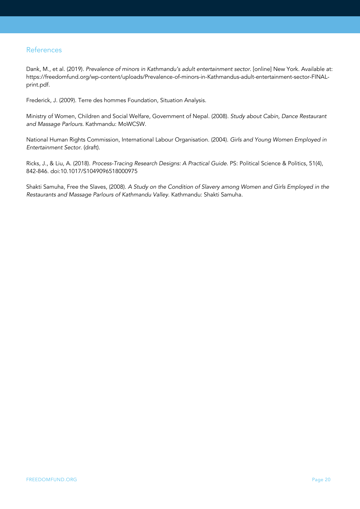### References

Dank, M., et al. (2019). *Prevalence of minors in Kathmandu's adult entertainment sector*. [online] New York. Available at: https://freedomfund.org/wp-content/uploads/Prevalence-of-minors-in-Kathmandus-adult-entertainment-sector-FINALprint.pdf.

Frederick, J. (2009). Terre des hommes Foundation, Situation Analysis.

Ministry of Women, Children and Social Welfare, Government of Nepal. (2008). *Study about Cabin, Dance Restaurant and Massage Parlours.* Kathmandu: MoWCSW.

National Human Rights Commission, International Labour Organisation. (2004). *Girls and Young Women Employed in Entertainment Sector*. (draft).

Ricks, J., & Liu, A. (2018). *Process-Tracing Research Designs: A Practical Guide*. PS: Political Science & Politics, 51(4), 842-846. doi:10.1017/S1049096518000975

Shakti Samuha, Free the Slaves, (2008). *A Study on the Condition of Slavery among Women and Girls Employed in the Restaurants and Massage Parlours of Kathmandu Valley.* Kathmandu: Shakti Samuha.